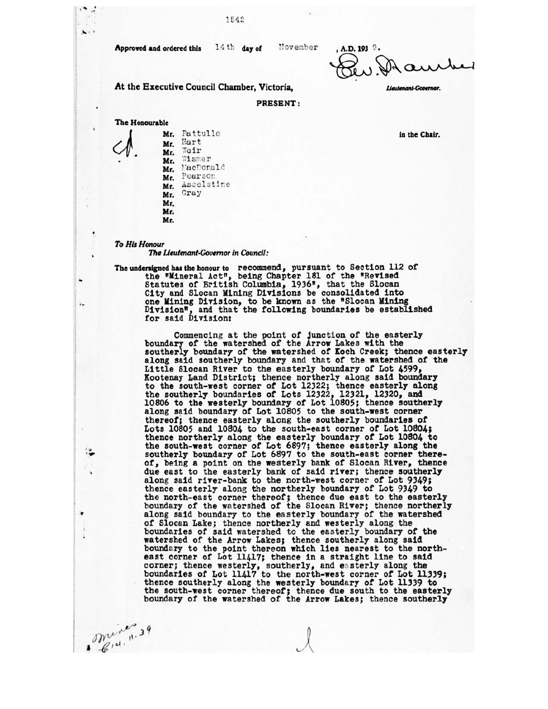**Approved and ordered this** 14th day of

November

**, A. D. 193 • at.).X)•-)4-4-1** 

Lieutenant-Governor.

*in* **the Chair.** 

**PRESENT:** 

**The Honourable** 

 $\ddot{\phantom{1}}$ 

 $\mathbf{x}$ 

¥.

mine

Mr. Pattullo Mr. Hart Mr. Weir<br>Mr. Wismer Mr. MacDonald Mr. Pearson Mr. Asselstine<br>Mr. Gray Gray Mr. Mr. Mr.

**At the Executive Council Chamber, Victoria,** 

1542

*To His Honour* 

*The Lieutenant•Gouernor in Council:* 

**The undersigned has the honour to** recommend, pursuant to Section 112 of the "Mineral Act", being Chapter 181 of the "Revised Statutes of British Columbia, 1936", that the Slocan City and Slocan Mining Divisions be consolidated into one Mining Division, to be known as the "Slocan Mining Division", and that the following boundaries be established for said Division:

Commencing at the point of junction of the easterly boundary of the watershed of the Arrow Lakes with the southerly boundary of the watershed of Koch Creek; thence easterly along said southerly boundary and that of the watershed of the Little Slocan River to the easterly boundary of Lot 4599, Kootenay Land District; thence northerly along said boundary to the south-west corner of Lot 12322; thence easterly along the southerly boundaries of Lots 12322, 12321, 12320, and 10806 to the westerly boundary of Lot 10805; thence southerly along said boundary of Lot 10805 to the south-west corner thereof; thence easterly along the southerly boundaries of Lots 10805 and 10804 to the south-east corner of Lot 10804; thence northerly along the easterly boundary of Lot 10804 to the south-west corner of Lot 6897; thence easterly along the southerly boundary of Lot 6897 to the south-east corner thereof, being a point on the westerly bank of Slocan River, thence due east to the easterly bank of said river; thence southerly along said river-bank to the north-west corner of Lot 9349; thence easterly along the northerly boundary of Lot 9349 to the north-east corner thereof; thence due east to the easterly boundary of the watershed of the Slocan River; thence northerly along said boundary to the easterly boundary of the watershed of Slocan Lake; thence northerly and westerly along the boundaries of said watershed to the easterly boundary of the watershed of the Arrow Lakes; thence southerly along said boundary to the point thereon which lies nearest to the northeast corner of Lot 11417; thence in a straight line to said corner; thence westerly, southerly, and easterly along the boundaries of Lot 11417 to the north-west corner of Lot 11339; thence southerly along the westerly boundary of Lot 11339 to the south-west corner thereof; thence due south to the easterly boundary of the watershed of the Arrow Lakes; thence southerly